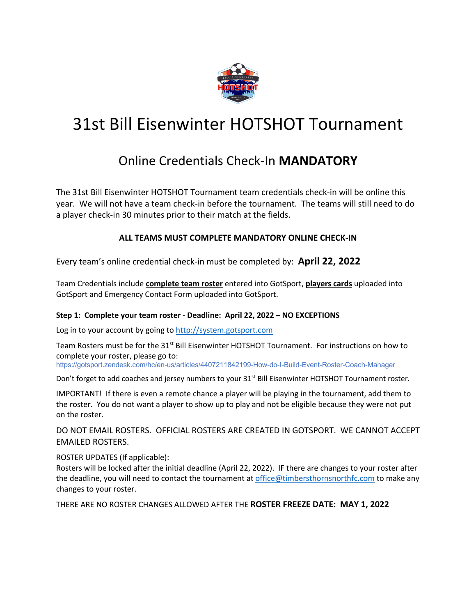

## 31st Bill Eisenwinter HOTSHOT Tournament

### Online Credentials Check-In **MANDATORY**

The 31st Bill Eisenwinter HOTSHOT Tournament team credentials check-in will be online this year. We will not have a team check-in before the tournament. The teams will still need to do a player check-in 30 minutes prior to their match at the fields.

#### **ALL TEAMS MUST COMPLETE MANDATORY ONLINE CHECK-IN**

Every team's online credential check-in must be completed by: **April 22, 2022**

Team Credentials include **complete team roster** entered into GotSport, **players cards** uploaded into GotSport and Emergency Contact Form uploaded into GotSport.

#### **Step 1: Complete your team roster - Deadline: April 22, 2022 – NO EXCEPTIONS**

Log in to your account by going to http://system.gotsport.com

Team Rosters must be for the 31<sup>st</sup> Bill Eisenwinter HOTSHOT Tournament. For instructions on how to complete your roster, please go to:

https://gotsport.zendesk.com/hc/en-us/articles/4407211842199-How-do-I-Build-Event-Roster-Coach-Manager

Don't forget to add coaches and jersey numbers to your 31<sup>st</sup> Bill Eisenwinter HOTSHOT Tournament roster.

IMPORTANT! If there is even a remote chance a player will be playing in the tournament, add them to the roster. You do not want a player to show up to play and not be eligible because they were not put on the roster.

DO NOT EMAIL ROSTERS. OFFICIAL ROSTERS ARE CREATED IN GOTSPORT. WE CANNOT ACCEPT EMAILED ROSTERS.

ROSTER UPDATES (If applicable):

Rosters will be locked after the initial deadline (April 22, 2022). IF there are changes to your roster after the deadline, you will need to contact the tournament at office@timbersthornsnorthfc.com to make any changes to your roster.

THERE ARE NO ROSTER CHANGES ALLOWED AFTER THE **ROSTER FREEZE DATE: MAY 1, 2022**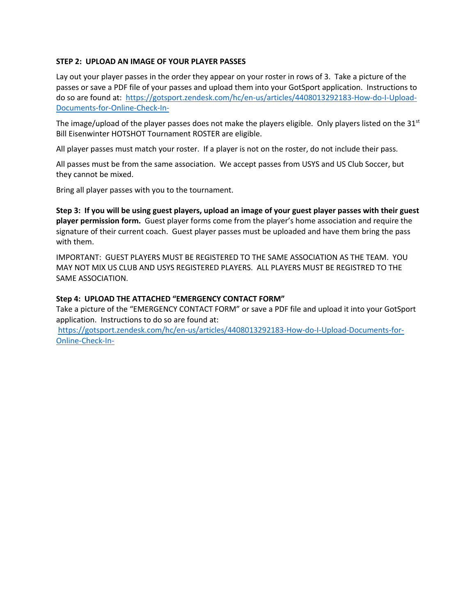#### **STEP 2: UPLOAD AN IMAGE OF YOUR PLAYER PASSES**

Lay out your player passes in the order they appear on your roster in rows of 3. Take a picture of the passes or save a PDF file of your passes and upload them into your GotSport application. Instructions to do so are found at: https://gotsport.zendesk.com/hc/en-us/articles/4408013292183-How-do-I-Upload-Documents-for-Online-Check-In-

The image/upload of the player passes does not make the players eligible. Only players listed on the 31 $\mathrm{^{st}}$ Bill Eisenwinter HOTSHOT Tournament ROSTER are eligible.

All player passes must match your roster. If a player is not on the roster, do not include their pass.

All passes must be from the same association. We accept passes from USYS and US Club Soccer, but they cannot be mixed.

Bring all player passes with you to the tournament.

**Step 3: If you will be using guest players, upload an image of your guest player passes with their guest player permission form.** Guest player forms come from the player's home association and require the signature of their current coach. Guest player passes must be uploaded and have them bring the pass with them.

IMPORTANT: GUEST PLAYERS MUST BE REGISTERED TO THE SAME ASSOCIATION AS THE TEAM. YOU MAY NOT MIX US CLUB AND USYS REGISTERED PLAYERS. ALL PLAYERS MUST BE REGISTRED TO THE SAME ASSOCIATION.

#### **Step 4: UPLOAD THE ATTACHED "EMERGENCY CONTACT FORM"**

Take a picture of the "EMERGENCY CONTACT FORM" or save a PDF file and upload it into your GotSport application. Instructions to do so are found at:

https://gotsport.zendesk.com/hc/en-us/articles/4408013292183-How-do-I-Upload-Documents-for-Online-Check-In-